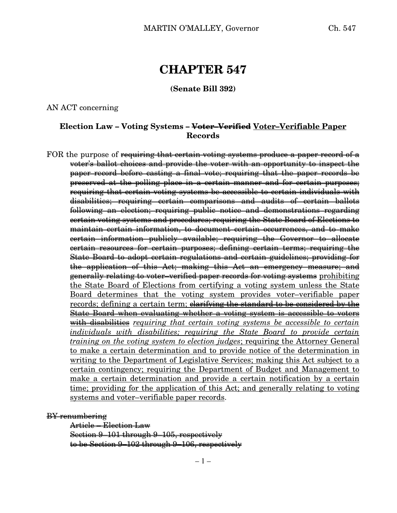# **CHAPTER 547**

**(Senate Bill 392)**

AN ACT concerning

### **Election Law – Voting Systems – Voter–Verified Voter–Verifiable Paper Records**

FOR the purpose of <del>requiring that certain voting systems produce a paper record of a</del> voter's ballot choices and provide the voter with an opportunity to inspect the paper record before casting a final vote; requiring that the paper records be preserved at the polling place in a certain manner and for certain purposes; requiring that certain voting systems be accessible to certain individuals with disabilities; requiring certain comparisons and audits of certain ballots following an election; requiring public notice and demonstrations regarding certain voting systems and procedures; requiring the State Board of Elections to maintain certain information, to document certain occurrences, and to make certain information publicly available; requiring the Governor to allocate certain resources for certain purposes; defining certain terms; requiring the State Board to adopt certain regulations and certain guidelines; providing for the application of this Act; making this Act an emergency measure; and generally relating to voter–verified paper records for voting systems prohibiting the State Board of Elections from certifying a voting system unless the State Board determines that the voting system provides voter–verifiable paper records; defining a certain term; <del>clarifying the standard to be considered by the</del> State Board when evaluating whether a voting system is accessible to voters with disabilities *requiring that certain voting systems be accessible to certain individuals with disabilities; requiring the State Board to provide certain training on the voting system to election judges*; requiring the Attorney General to make a certain determination and to provide notice of the determination in writing to the Department of Legislative Services; making this Act subject to a certain contingency; requiring the Department of Budget and Management to make a certain determination and provide a certain notification by a certain time; providing for the application of this Act; and generally relating to voting systems and voter–verifiable paper records.

BY renumbering

Article – Election Law Section 9–101 through 9–105, respectively to be Section 9–102 through 9–106, respectively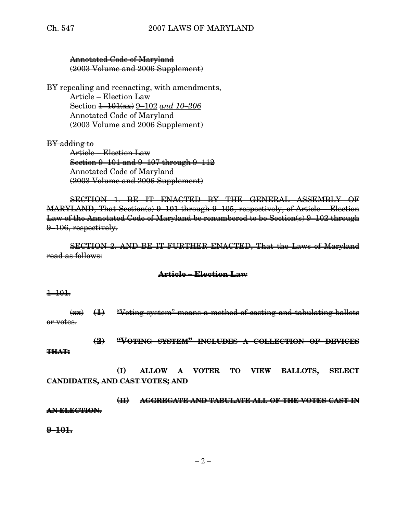#### Annotated Code of Maryland (2003 Volume and 2006 Supplement)

BY repealing and reenacting, with amendments, Article – Election Law Section 1–101(xx) 9–102 *and 10–206* Annotated Code of Maryland (2003 Volume and 2006 Supplement)

#### BY adding to

Article – Election Law Section 9–101 and 9–107 through 9–112 Annotated Code of Maryland (2003 Volume and 2006 Supplement)

SECTION 1. BE IT ENACTED BY THE GENERAL ASSEMBLY OF MARYLAND, That Section(s) 9–101 through 9–105, respectively, of Article – Election Law of the Annotated Code of Maryland be renumbered to be Section(s) 9–102 through 9–106, respectively.

SECTION 2. AND BE IT FURTHER ENACTED, That the Laws of Maryland read as follows:

#### **Article – Election Law**

#### $+101.$

(xx) **(1)** "Voting system" means a method of casting and tabulating ballots or votes.

**(2) "VOTING SYSTEM" INCLUDES A COLLECTION OF DEVICES**

#### **THAT:**

**(I) ALLOW A VOTER TO VIEW BALLOTS, SELECT CANDIDATES, AND CAST VOTES; AND**

**(II) AGGREGATE AND TABULATE ALL OF THE VOTES CAST IN AN ELECTION.**

**9–101.**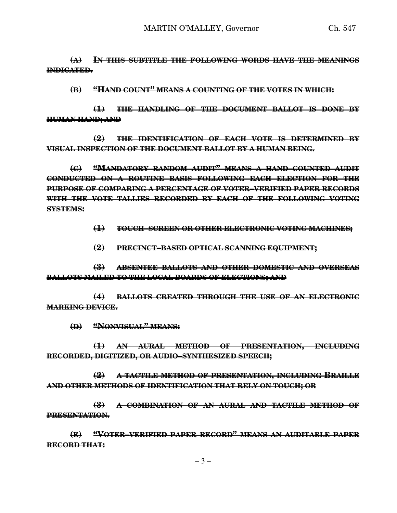**(A) IN THIS SUBTITLE THE FOLLOWING WORDS HAVE THE MEANINGS INDICATED.**

**(B) "HAND COUNT" MEANS A COUNTING OF THE VOTES IN WHICH:**

**(1) THE HANDLING OF THE DOCUMENT BALLOT IS DONE BY HUMAN HAND; AND**

**(2) THE IDENTIFICATION OF EACH VOTE IS DETERMINED BY VISUAL INSPECTION OF THE DOCUMENT BALLOT BY A HUMAN BEING.**

**(C) "MANDATORY RANDOM AUDIT" MEANS A HAND–COUNTED AUDIT CONDUCTED ON A ROUTINE BASIS FOLLOWING EACH ELECTION FOR THE PURPOSE OF COMPARING A PERCENTAGE OF VOTER–VERIFIED PAPER RECORDS WITH THE VOTE TALLIES RECORDED BY EACH OF THE FOLLOWING VOTING SYSTEMS:**

**(1) TOUCH–SCREEN OR OTHER ELECTRONIC VOTING MACHINES;**

**(2) PRECINCT–BASED OPTICAL SCANNING EQUIPMENT;**

**(3) ABSENTEE BALLOTS AND OTHER DOMESTIC AND OVERSEAS BALLOTS MAILED TO THE LOCAL BOARDS OF ELECTIONS; AND**

**(4) BALLOTS CREATED THROUGH THE USE OF AN ELECTRONIC MARKING DEVICE.**

**(D) "NONVISUAL" MEANS:**

**(1) AN AURAL METHOD OF PRESENTATION, INCLUDING RECORDED, DIGITIZED, OR AUDIO–SYNTHESIZED SPEECH;**

**(2) A TACTILE METHOD OF PRESENTATION, INCLUDING BRAILLE AND OTHER METHODS OF IDENTIFICATION THAT RELY ON TOUCH; OR**

**(3) A COMBINATION OF AN AURAL AND TACTILE METHOD OF PRESENTATION.**

**(E) "VOTER–VERIFIED PAPER RECORD" MEANS AN AUDITABLE PAPER RECORD THAT:**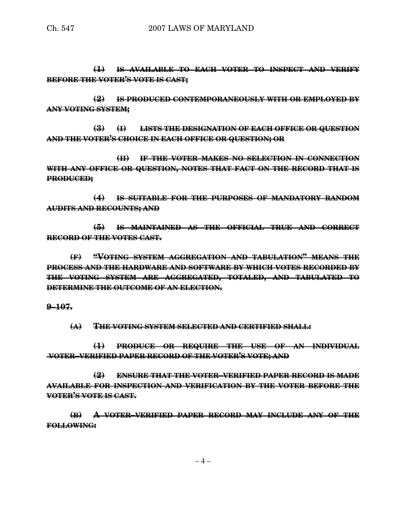**(1) IS AVAILABLE TO EACH VOTER TO INSPECT AND VERIFY BEFORE THE VOTER'S VOTE IS CAST;**

**(2) IS PRODUCED CONTEMPORANEOUSLY WITH OR EMPLOYED BY ANY VOTING SYSTEM;**

**(3) (I) LISTS THE DESIGNATION OF EACH OFFICE OR QUESTION AND THE VOTER'S CHOICE IN EACH OFFICE OR QUESTION; OR**

**(II) IF THE VOTER MAKES NO SELECTION IN CONNECTION WITH ANY OFFICE OR QUESTION, NOTES THAT FACT ON THE RECORD THAT IS PRODUCED;**

**(4) IS SUITABLE FOR THE PURPOSES OF MANDATORY RANDOM AUDITS AND RECOUNTS; AND**

**(5) IS MAINTAINED AS THE OFFICIAL TRUE AND CORRECT RECORD OF THE VOTES CAST.**

**(F) "VOTING SYSTEM AGGREGATION AND TABULATION" MEANS THE PROCESS AND THE HARDWARE AND SOFTWARE BY WHICH VOTES RECORDED BY THE VOTING SYSTEM ARE AGGREGATED, TOTALED, AND TABULATED TO DETERMINE THE OUTCOME OF AN ELECTION.**

**9–107.**

**(A) THE VOTING SYSTEM SELECTED AND CERTIFIED SHALL:**

**(1) PRODUCE OR REQUIRE THE USE OF AN INDIVIDUAL VOTER–VERIFIED PAPER RECORD OF THE VOTER'S VOTE; AND**

**(2) ENSURE THAT THE VOTER–VERIFIED PAPER RECORD IS MADE AVAILABLE FOR INSPECTION AND VERIFICATION BY THE VOTER BEFORE THE VOTER'S VOTE IS CAST.**

**(B) A VOTER–VERIFIED PAPER RECORD MAY INCLUDE ANY OF THE FOLLOWING:**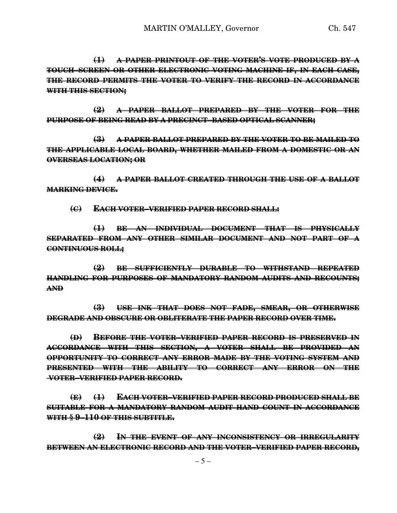**(1) A PAPER PRINTOUT OF THE VOTER'S VOTE PRODUCED BY A TOUCH–SCREEN OR OTHER ELECTRONIC VOTING MACHINE IF, IN EACH CASE, THE RECORD PERMITS THE VOTER TO VERIFY THE RECORD IN ACCORDANCE WITH THIS SECTION;**

**(2) A PAPER BALLOT PREPARED BY THE VOTER FOR THE PURPOSE OF BEING READ BY A PRECINCT–BASED OPTICAL SCANNER;**

**(3) A PAPER BALLOT PREPARED BY THE VOTER TO BE MAILED TO THE APPLICABLE LOCAL BOARD, WHETHER MAILED FROM A DOMESTIC OR AN OVERSEAS LOCATION; OR**

**(4) A PAPER BALLOT CREATED THROUGH THE USE OF A BALLOT MARKING DEVICE.**

**(C) EACH VOTER–VERIFIED PAPER RECORD SHALL:**

**(1) BE AN INDIVIDUAL DOCUMENT THAT IS PHYSICALLY SEPARATED FROM ANY OTHER SIMILAR DOCUMENT AND NOT PART OF A CONTINUOUS ROLL;**

**(2) BE SUFFICIENTLY DURABLE TO WITHSTAND REPEATED HANDLING FOR PURPOSES OF MANDATORY RANDOM AUDITS AND RECOUNTS; AND**

**(3) USE INK THAT DOES NOT FADE, SMEAR, OR OTHERWISE DEGRADE AND OBSCURE OR OBLITERATE THE PAPER RECORD OVER TIME.**

**(D) BEFORE THE VOTER–VERIFIED PAPER RECORD IS PRESERVED IN ACCORDANCE WITH THIS SECTION, A VOTER SHALL BE PROVIDED AN OPPORTUNITY TO CORRECT ANY ERROR MADE BY THE VOTING SYSTEM AND PRESENTED WITH THE ABILITY TO CORRECT ANY ERROR ON THE VOTER–VERIFIED PAPER RECORD.**

**(E) (1) EACH VOTER–VERIFIED PAPER RECORD PRODUCED SHALL BE SUITABLE FOR A MANDATORY RANDOM AUDIT HAND COUNT IN ACCORDANCE WITH § 9–110 OF THIS SUBTITLE.**

**(2) IN THE EVENT OF ANY INCONSISTENCY OR IRREGULARITY BETWEEN AN ELECTRONIC RECORD AND THE VOTER–VERIFIED PAPER RECORD,**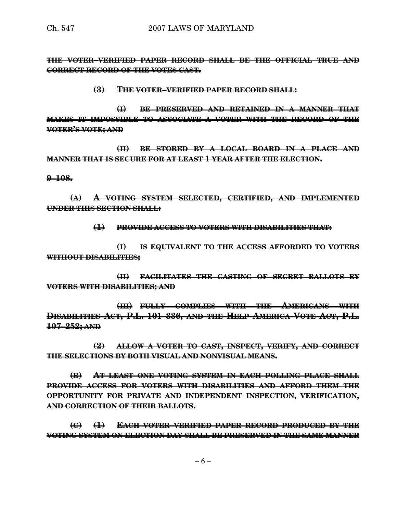**THE VOTER–VERIFIED PAPER RECORD SHALL BE THE OFFICIAL TRUE AND CORRECT RECORD OF THE VOTES CAST.**

#### **(3) THE VOTER–VERIFIED PAPER RECORD SHALL:**

**(I) BE PRESERVED AND RETAINED IN A MANNER THAT MAKES IT IMPOSSIBLE TO ASSOCIATE A VOTER WITH THE RECORD OF THE VOTER'S VOTE; AND**

**(II) BE STORED BY A LOCAL BOARD IN A PLACE AND MANNER THAT IS SECURE FOR AT LEAST 1 YEAR AFTER THE ELECTION.**

**9–108.**

**(A) A VOTING SYSTEM SELECTED, CERTIFIED, AND IMPLEMENTED UNDER THIS SECTION SHALL:**

**(1) PROVIDE ACCESS TO VOTERS WITH DISABILITIES THAT:**

**(I) IS EQUIVALENT TO THE ACCESS AFFORDED TO VOTERS WITHOUT DISABILITIES;**

**(II) FACILITATES THE CASTING OF SECRET BALLOTS BY VOTERS WITH DISABILITIES; AND**

**(III) FULLY COMPLIES WITH THE AMERICANS WITH DISABILITIES ACT, P.L. 101–336, AND THE HELP AMERICA VOTE ACT, P.L. 107–252; AND**

**(2) ALLOW A VOTER TO CAST, INSPECT, VERIFY, AND CORRECT THE SELECTIONS BY BOTH VISUAL AND NONVISUAL MEANS.**

**(B) AT LEAST ONE VOTING SYSTEM IN EACH POLLING PLACE SHALL PROVIDE ACCESS FOR VOTERS WITH DISABILITIES AND AFFORD THEM THE OPPORTUNITY FOR PRIVATE AND INDEPENDENT INSPECTION, VERIFICATION, AND CORRECTION OF THEIR BALLOTS.**

**(C) (1) EACH VOTER–VERIFIED PAPER RECORD PRODUCED BY THE VOTING SYSTEM ON ELECTION DAY SHALL BE PRESERVED IN THE SAME MANNER**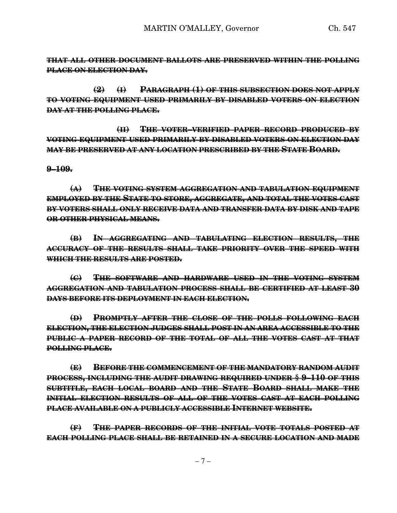**THAT ALL OTHER DOCUMENT BALLOTS ARE PRESERVED WITHIN THE POLLING PLACE ON ELECTION DAY.**

**(2) (I) PARAGRAPH (1) OF THIS SUBSECTION DOES NOT APPLY TO VOTING EQUIPMENT USED PRIMARILY BY DISABLED VOTERS ON ELECTION DAY AT THE POLLING PLACE.**

**(II) THE VOTER–VERIFIED PAPER RECORD PRODUCED BY VOTING EQUIPMENT USED PRIMARILY BY DISABLED VOTERS ON ELECTION DAY MAY BE PRESERVED AT ANY LOCATION PRESCRIBED BY THE STATE BOARD.**

#### **9–109.**

**(A) THE VOTING SYSTEM AGGREGATION AND TABULATION EQUIPMENT EMPLOYED BY THE STATE TO STORE, AGGREGATE, AND TOTAL THE VOTES CAST BY VOTERS SHALL ONLY RECEIVE DATA AND TRANSFER DATA BY DISK AND TAPE OR OTHER PHYSICAL MEANS.**

**(B) IN AGGREGATING AND TABULATING ELECTION RESULTS, THE ACCURACY OF THE RESULTS SHALL TAKE PRIORITY OVER THE SPEED WITH WHICH THE RESULTS ARE POSTED.**

**(C) THE SOFTWARE AND HARDWARE USED IN THE VOTING SYSTEM AGGREGATION AND TABULATION PROCESS SHALL BE CERTIFIED AT LEAST 30 DAYS BEFORE ITS DEPLOYMENT IN EACH ELECTION.**

**(D) PROMPTLY AFTER THE CLOSE OF THE POLLS FOLLOWING EACH ELECTION, THE ELECTION JUDGES SHALL POST IN AN AREA ACCESSIBLE TO THE PUBLIC A PAPER RECORD OF THE TOTAL OF ALL THE VOTES CAST AT THAT POLLING PLACE.**

**(E) BEFORE THE COMMENCEMENT OF THE MANDATORY RANDOM AUDIT PROCESS, INCLUDING THE AUDIT DRAWING REQUIRED UNDER § 9–110 OF THIS SUBTITLE, EACH LOCAL BOARD AND THE STATE BOARD SHALL MAKE THE INITIAL ELECTION RESULTS OF ALL OF THE VOTES CAST AT EACH POLLING PLACE AVAILABLE ON A PUBLICLY ACCESSIBLE INTERNET WEBSITE.**

**(F) THE PAPER RECORDS OF THE INITIAL VOTE TOTALS POSTED AT EACH POLLING PLACE SHALL BE RETAINED IN A SECURE LOCATION AND MADE**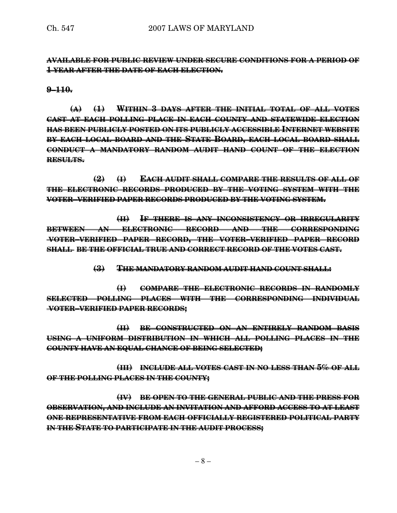**AVAILABLE FOR PUBLIC REVIEW UNDER SECURE CONDITIONS FOR A PERIOD OF 1 YEAR AFTER THE DATE OF EACH ELECTION.**

**9–110.**

**(A) (1) WITHIN 3 DAYS AFTER THE INITIAL TOTAL OF ALL VOTES CAST AT EACH POLLING PLACE IN EACH COUNTY AND STATEWIDE ELECTION HAS BEEN PUBLICLY POSTED ON ITS PUBLICLY ACCESSIBLE INTERNET WEBSITE BY EACH LOCAL BOARD AND THE STATE BOARD, EACH LOCAL BOARD SHALL CONDUCT A MANDATORY RANDOM AUDIT HAND COUNT OF THE ELECTION RESULTS.**

**(2) (I) EACH AUDIT SHALL COMPARE THE RESULTS OF ALL OF THE ELECTRONIC RECORDS PRODUCED BY THE VOTING SYSTEM WITH THE VOTER–VERIFIED PAPER RECORDS PRODUCED BY THE VOTING SYSTEM.**

**(II) IF THERE IS ANY INCONSISTENCY OR IRREGULARITY BETWEEN AN ELECTRONIC RECORD AND THE CORRESPONDING VOTER–VERIFIED PAPER RECORD, THE VOTER–VERIFIED PAPER RECORD SHALL BE THE OFFICIAL TRUE AND CORRECT RECORD OF THE VOTES CAST.**

**(3) THE MANDATORY RANDOM AUDIT HAND COUNT SHALL:**

**(I) COMPARE THE ELECTRONIC RECORDS IN RANDOMLY SELECTED POLLING PLACES WITH THE CORRESPONDING INDIVIDUAL VOTER–VERIFIED PAPER RECORDS;**

**(II) BE CONSTRUCTED ON AN ENTIRELY RANDOM BASIS USING A UNIFORM DISTRIBUTION IN WHICH ALL POLLING PLACES IN THE COUNTY HAVE AN EQUAL CHANCE OF BEING SELECTED;**

**(III) INCLUDE ALL VOTES CAST IN NO LESS THAN 5% OF ALL OF THE POLLING PLACES IN THE COUNTY;**

**(IV) BE OPEN TO THE GENERAL PUBLIC AND THE PRESS FOR OBSERVATION, AND INCLUDE AN INVITATION AND AFFORD ACCESS TO AT LEAST ONE REPRESENTATIVE FROM EACH OFFICIALLY REGISTERED POLITICAL PARTY IN THE STATE TO PARTICIPATE IN THE AUDIT PROCESS;**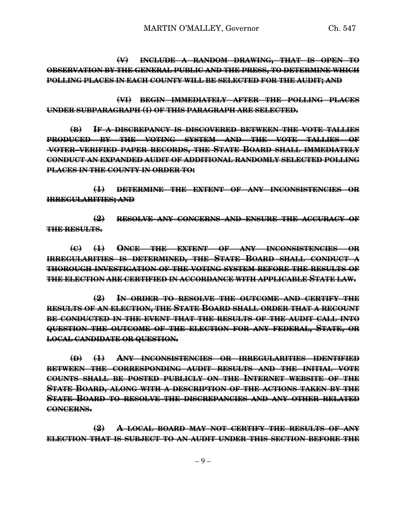**(V) INCLUDE A RANDOM DRAWING, THAT IS OPEN TO OBSERVATION BY THE GENERAL PUBLIC AND THE PRESS, TO DETERMINE WHICH POLLING PLACES IN EACH COUNTY WILL BE SELECTED FOR THE AUDIT; AND**

**(VI) BEGIN IMMEDIATELY AFTER THE POLLING PLACES UNDER SUBPARAGRAPH (I) OF THIS PARAGRAPH ARE SELECTED.**

**(B) IF A DISCREPANCY IS DISCOVERED BETWEEN THE VOTE TALLIES PRODUCED BY THE VOTING SYSTEM AND THE VOTE TALLIES OF VOTER–VERIFIED PAPER RECORDS, THE STATE BOARD SHALL IMMEDIATELY CONDUCT AN EXPANDED AUDIT OF ADDITIONAL RANDOMLY SELECTED POLLING PLACES IN THE COUNTY IN ORDER TO:**

**(1) DETERMINE THE EXTENT OF ANY INCONSISTENCIES OR IRREGULARITIES; AND**

**(2) RESOLVE ANY CONCERNS AND ENSURE THE ACCURACY OF THE RESULTS.**

**(C) (1) ONCE THE EXTENT OF ANY INCONSISTENCIES OR IRREGULARITIES IS DETERMINED, THE STATE BOARD SHALL CONDUCT A THOROUGH INVESTIGATION OF THE VOTING SYSTEM BEFORE THE RESULTS OF THE ELECTION ARE CERTIFIED IN ACCORDANCE WITH APPLICABLE STATE LAW.**

**(2) IN ORDER TO RESOLVE THE OUTCOME AND CERTIFY THE RESULTS OF AN ELECTION, THE STATE BOARD SHALL ORDER THAT A RECOUNT BE CONDUCTED IN THE EVENT THAT THE RESULTS OF THE AUDIT CALL INTO QUESTION THE OUTCOME OF THE ELECTION FOR ANY FEDERAL, STATE, OR LOCAL CANDIDATE OR QUESTION.**

**(D) (1) ANY INCONSISTENCIES OR IRREGULARITIES IDENTIFIED BETWEEN THE CORRESPONDING AUDIT RESULTS AND THE INITIAL VOTE COUNTS SHALL BE POSTED PUBLICLY ON THE INTERNET WEBSITE OF THE STATE BOARD, ALONG WITH A DESCRIPTION OF THE ACTIONS TAKEN BY THE STATE BOARD TO RESOLVE THE DISCREPANCIES AND ANY OTHER RELATED CONCERNS.**

**(2) A LOCAL BOARD MAY NOT CERTIFY THE RESULTS OF ANY ELECTION THAT IS SUBJECT TO AN AUDIT UNDER THIS SECTION BEFORE THE**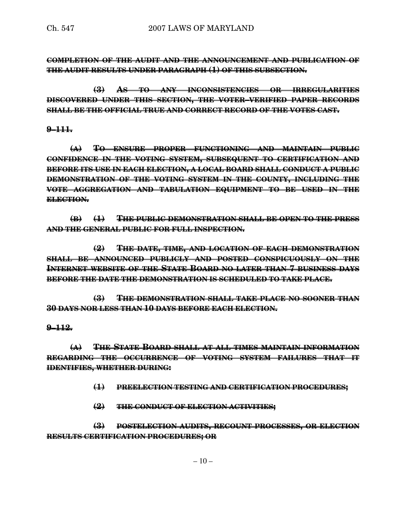**COMPLETION OF THE AUDIT AND THE ANNOUNCEMENT AND PUBLICATION OF THE AUDIT RESULTS UNDER PARAGRAPH (1) OF THIS SUBSECTION.**

**(3) AS TO ANY INCONSISTENCIES OR IRREGULARITIES DISCOVERED UNDER THIS SECTION, THE VOTER–VERIFIED PAPER RECORDS SHALL BE THE OFFICIAL TRUE AND CORRECT RECORD OF THE VOTES CAST.**

#### **9–111.**

**(A) TO ENSURE PROPER FUNCTIONING AND MAINTAIN PUBLIC CONFIDENCE IN THE VOTING SYSTEM, SUBSEQUENT TO CERTIFICATION AND BEFORE ITS USE IN EACH ELECTION, A LOCAL BOARD SHALL CONDUCT A PUBLIC DEMONSTRATION OF THE VOTING SYSTEM IN THE COUNTY, INCLUDING THE VOTE AGGREGATION AND TABULATION EQUIPMENT TO BE USED IN THE ELECTION.**

**(B) (1) THE PUBLIC DEMONSTRATION SHALL BE OPEN TO THE PRESS AND THE GENERAL PUBLIC FOR FULL INSPECTION.**

**(2) THE DATE, TIME, AND LOCATION OF EACH DEMONSTRATION SHALL BE ANNOUNCED PUBLICLY AND POSTED CONSPICUOUSLY ON THE INTERNET WEBSITE OF THE STATE BOARD NO LATER THAN 7 BUSINESS DAYS BEFORE THE DATE THE DEMONSTRATION IS SCHEDULED TO TAKE PLACE.**

**(3) THE DEMONSTRATION SHALL TAKE PLACE NO SOONER THAN 30 DAYS NOR LESS THAN 10 DAYS BEFORE EACH ELECTION.**

#### **9–112.**

**(A) THE STATE BOARD SHALL AT ALL TIMES MAINTAIN INFORMATION REGARDING THE OCCURRENCE OF VOTING SYSTEM FAILURES THAT IT IDENTIFIES, WHETHER DURING:**

**(1) PREELECTION TESTING AND CERTIFICATION PROCEDURES;**

**(2) THE CONDUCT OF ELECTION ACTIVITIES;**

**(3) POSTELECTION AUDITS, RECOUNT PROCESSES, OR ELECTION RESULTS CERTIFICATION PROCEDURES; OR**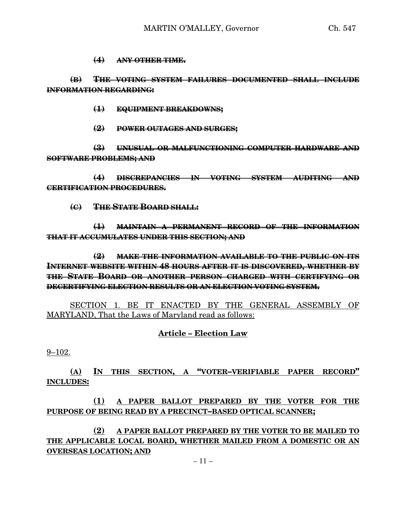#### **(4) ANY OTHER TIME.**

**(B) THE VOTING SYSTEM FAILURES DOCUMENTED SHALL INCLUDE INFORMATION REGARDING:**

**(1) EQUIPMENT BREAKDOWNS;**

**(2) POWER OUTAGES AND SURGES;**

**(3) UNUSUAL OR MALFUNCTIONING COMPUTER HARDWARE AND SOFTWARE PROBLEMS; AND**

**(4) DISCREPANCIES IN VOTING SYSTEM AUDITING AND CERTIFICATION PROCEDURES.**

**(C) THE STATE BOARD SHALL:**

**(1) MAINTAIN A PERMANENT RECORD OF THE INFORMATION THAT IT ACCUMULATES UNDER THIS SECTION; AND**

**(2) MAKE THE INFORMATION AVAILABLE TO THE PUBLIC ON ITS INTERNET WEBSITE WITHIN 48 HOURS AFTER IT IS DISCOVERED, WHETHER BY THE STATE BOARD OR ANOTHER PERSON CHARGED WITH CERTIFYING OR DECERTIFYING ELECTION RESULTS OR AN ELECTION VOTING SYSTEM.**

SECTION 1. BE IT ENACTED BY THE GENERAL ASSEMBLY OF MARYLAND, That the Laws of Maryland read as follows:

### **Article – Election Law**

9–102.

**(A) IN THIS SECTION, A "VOTER–VERIFIABLE PAPER RECORD" INCLUDES:**

**(1) A PAPER BALLOT PREPARED BY THE VOTER FOR THE PURPOSE OF BEING READ BY A PRECINCT–BASED OPTICAL SCANNER;**

**(2) A PAPER BALLOT PREPARED BY THE VOTER TO BE MAILED TO THE APPLICABLE LOCAL BOARD, WHETHER MAILED FROM A DOMESTIC OR AN OVERSEAS LOCATION; AND**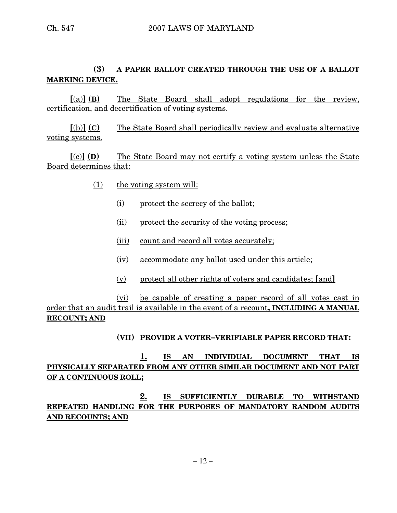## **(3) A PAPER BALLOT CREATED THROUGH THE USE OF A BALLOT MARKING DEVICE.**

**[**(a)**] (B)** The State Board shall adopt regulations for the review, certification, and decertification of voting systems.

**[**(b)**] (C)** The State Board shall periodically review and evaluate alternative voting systems.

**[**(c)**] (D)** The State Board may not certify a voting system unless the State Board determines that:

- (1) the voting system will:
	- (i) protect the secrecy of the ballot;
	- (ii) protect the security of the voting process;
	- (iii) count and record all votes accurately;
	- (iv) accommodate any ballot used under this article;
	- (v) protect all other rights of voters and candidates; **[**and**]**

(vi) be capable of creating a paper record of all votes cast in order that an audit trail is available in the event of a recount**, INCLUDING A MANUAL RECOUNT; AND**

### **(VII) PROVIDE A VOTER–VERIFIABLE PAPER RECORD THAT:**

### **1. IS AN INDIVIDUAL DOCUMENT THAT IS PHYSICALLY SEPARATED FROM ANY OTHER SIMILAR DOCUMENT AND NOT PART OF A CONTINUOUS ROLL;**

**2. IS SUFFICIENTLY DURABLE TO WITHSTAND REPEATED HANDLING FOR THE PURPOSES OF MANDATORY RANDOM AUDITS AND RECOUNTS; AND**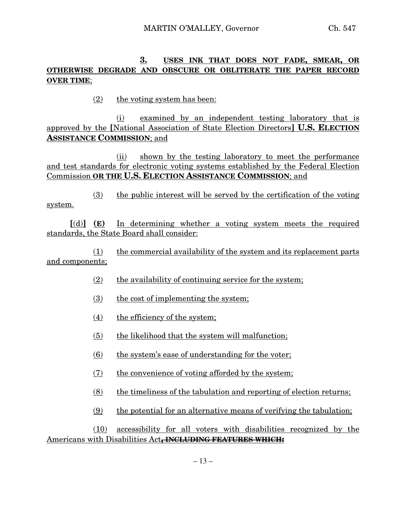### **3. USES INK THAT DOES NOT FADE, SMEAR, OR OTHERWISE DEGRADE AND OBSCURE OR OBLITERATE THE PAPER RECORD OVER TIME**;

(2) the voting system has been:

(i) examined by an independent testing laboratory that is approved by the **[**National Association of State Election Directors**] U.S. ELECTION ASSISTANCE COMMISSION**; and

(ii) shown by the testing laboratory to meet the performance and test standards for electronic voting systems established by the Federal Election Commission **OR THE U.S. ELECTION ASSISTANCE COMMISSION**; and

(3) the public interest will be served by the certification of the voting system.

**[**(d)**] (E)** In determining whether a voting system meets the required standards, the State Board shall consider:

(1) the commercial availability of the system and its replacement parts and components;

- (2) the availability of continuing service for the system;
- (3) the cost of implementing the system;
- (4) the efficiency of the system;
- (5) the likelihood that the system will malfunction;
- $(6)$  the system's ease of understanding for the voter;
- (7) the convenience of voting afforded by the system;
- $(8)$  the timeliness of the tabulation and reporting of election returns;
- (9) the potential for an alternative means of verifying the tabulation;

(10) accessibility for all voters with disabilities recognized by the Americans with Disabilities Act**, INCLUDING FEATURES WHICH:**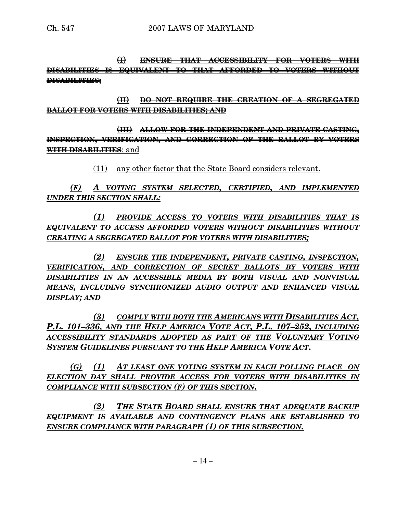**(I) ENSURE THAT ACCESSIBILITY FOR VOTERS WITH DISABILITIES IS EQUIVALENT TO THAT AFFORDED TO VOTERS WITHOUT DISABILITIES;**

**(II) DO NOT REQUIRE THE CREATION OF A SEGREGATED BALLOT FOR VOTERS WITH DISABILITIES; AND**

**(III) ALLOW FOR THE INDEPENDENT AND PRIVATE CASTING, INSPECTION, VERIFICATION, AND CORRECTION OF THE BALLOT BY VOTERS WITH DISABILITIES**; and

(11) any other factor that the State Board considers relevant.

*(F) A VOTING SYSTEM SELECTED, CERTIFIED, AND IMPLEMENTED UNDER THIS SECTION SHALL:*

*(1) PROVIDE ACCESS TO VOTERS WITH DISABILITIES THAT IS EQUIVALENT TO ACCESS AFFORDED VOTERS WITHOUT DISABILITIES WITHOUT CREATING A SEGREGATED BALLOT FOR VOTERS WITH DISABILITIES;*

*(2) ENSURE THE INDEPENDENT, PRIVATE CASTING, INSPECTION, VERIFICATION, AND CORRECTION OF SECRET BALLOTS BY VOTERS WITH DISABILITIES IN AN ACCESSIBLE MEDIA BY BOTH VISUAL AND NONVISUAL MEANS, INCLUDING SYNCHRONIZED AUDIO OUTPUT AND ENHANCED VISUAL DISPLAY; AND*

*(3) COMPLY WITH BOTH THE AMERICANS WITH DISABILITIES ACT, P.L. 101–336, AND THE HELP AMERICA VOTE ACT, P.L. 107–252, INCLUDING ACCESSIBILITY STANDARDS ADOPTED AS PART OF THE VOLUNTARY VOTING SYSTEM GUIDELINES PURSUANT TO THE HELP AMERICA VOTE ACT.*

*(G) (1) AT LEAST ONE VOTING SYSTEM IN EACH POLLING PLACE ON ELECTION DAY SHALL PROVIDE ACCESS FOR VOTERS WITH DISABILITIES IN COMPLIANCE WITH SUBSECTION (F) OF THIS SECTION.*

*(2) THE STATE BOARD SHALL ENSURE THAT ADEQUATE BACKUP EQUIPMENT IS AVAILABLE AND CONTINGENCY PLANS ARE ESTABLISHED TO ENSURE COMPLIANCE WITH PARAGRAPH (1) OF THIS SUBSECTION.*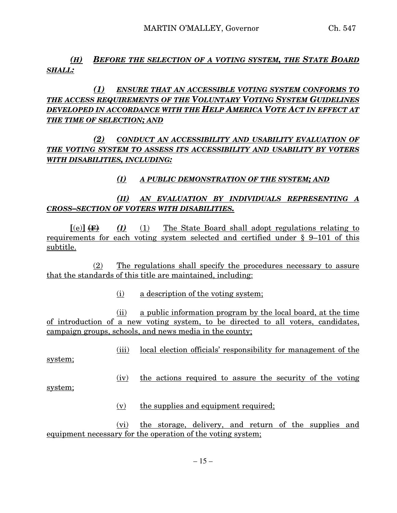### *(H) BEFORE THE SELECTION OF A VOTING SYSTEM, THE STATE BOARD SHALL:*

## *(1) ENSURE THAT AN ACCESSIBLE VOTING SYSTEM CONFORMS TO THE ACCESS REQUIREMENTS OF THE VOLUNTARY VOTING SYSTEM GUIDELINES DEVELOPED IN ACCORDANCE WITH THE HELP AMERICA VOTE ACT IN EFFECT AT THE TIME OF SELECTION; AND*

# *(2) CONDUCT AN ACCESSIBILITY AND USABILITY EVALUATION OF THE VOTING SYSTEM TO ASSESS ITS ACCESSIBILITY AND USABILITY BY VOTERS WITH DISABILITIES, INCLUDING:*

## *(I) A PUBLIC DEMONSTRATION OF THE SYSTEM; AND*

# *(II) AN EVALUATION BY INDIVIDUALS REPRESENTING A CROSS–SECTION OF VOTERS WITH DISABILITIES.*

 $[(e)] \leftrightarrow (I)$  (1) The State Board shall adopt regulations relating to requirements for each voting system selected and certified under § 9–101 of this subtitle.

(2) The regulations shall specify the procedures necessary to assure that the standards of this title are maintained, including:

(i) a description of the voting system;

(ii) a public information program by the local board, at the time of introduction of a new voting system, to be directed to all voters, candidates, campaign groups, schools, and news media in the county;

(iii) local election officials' responsibility for management of the

system;

(iv) the actions required to assure the security of the voting

system;

(v) the supplies and equipment required;

(vi) the storage, delivery, and return of the supplies and equipment necessary for the operation of the voting system;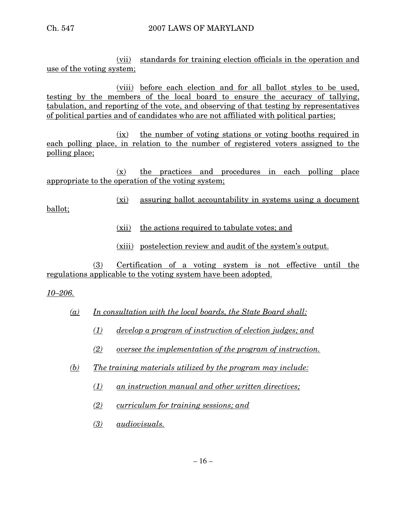(vii) standards for training election officials in the operation and use of the voting system;

(viii) before each election and for all ballot styles to be used, testing by the members of the local board to ensure the accuracy of tallying, tabulation, and reporting of the vote, and observing of that testing by representatives of political parties and of candidates who are not affiliated with political parties;

(ix) the number of voting stations or voting booths required in each polling place, in relation to the number of registered voters assigned to the polling place;

(x) the practices and procedures in each polling place appropriate to the operation of the voting system;

(xi) assuring ballot accountability in systems using a document

ballot;

- (xii) the actions required to tabulate votes; and
- (xiii) postelection review and audit of the system's output.

(3) Certification of a voting system is not effective until the regulations applicable to the voting system have been adopted.

*10–206.*

- *(a) In consultation with the local boards, the State Board shall:*
	- *(1) develop a program of instruction of election judges; and*
	- *(2) oversee the implementation of the program of instruction.*
- *(b) The training materials utilized by the program may include:*
	- *(1) an instruction manual and other written directives;*
	- *(2) curriculum for training sessions; and*
	- *(3) audiovisuals.*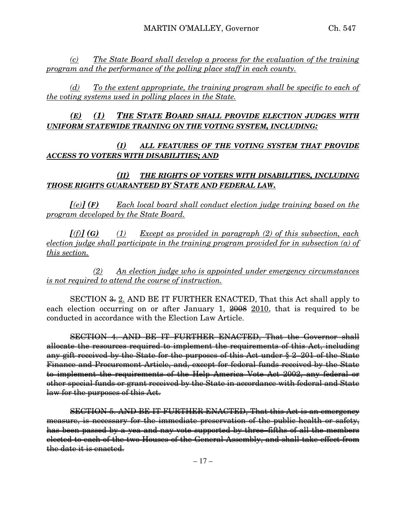*(c) The State Board shall develop a process for the evaluation of the training program and the performance of the polling place staff in each county.*

*(d) To the extent appropriate, the training program shall be specific to each of the voting systems used in polling places in the State.*

*(E) (1) THE STATE BOARD SHALL PROVIDE ELECTION JUDGES WITH UNIFORM STATEWIDE TRAINING ON THE VOTING SYSTEM, INCLUDING:*

### *(I) ALL FEATURES OF THE VOTING SYSTEM THAT PROVIDE ACCESS TO VOTERS WITH DISABILITIES; AND*

### *(II) THE RIGHTS OF VOTERS WITH DISABILITIES, INCLUDING THOSE RIGHTS GUARANTEED BY STATE AND FEDERAL LAW.*

*[(e)] (F) Each local board shall conduct election judge training based on the program developed by the State Board.*

*[(f)] (G) (1) Except as provided in paragraph (2) of this subsection, each election judge shall participate in the training program provided for in subsection (a) of this section.*

*(2) An election judge who is appointed under emergency circumstances is not required to attend the course of instruction.*

SECTION <del>3.</del> 2. AND BE IT FURTHER ENACTED, That this Act shall apply to each election occurring on or after January 1,  $\frac{2008}{1000}$  2010, that is required to be conducted in accordance with the Election Law Article.

SECTION 4. AND BE IT FURTHER ENACTED, That the Governor shall allocate the resources required to implement the requirements of this Act, including any gift received by the State for the purposes of this Act under § 2–201 of the State Finance and Procurement Article, and, except for federal funds received by the State to implement the requirements of the Help America Vote Act 2002, any federal or other special funds or grant received by the State in accordance with federal and State law for the purposes of this Act.

SECTION 5. AND BE IT FURTHER ENACTED, That this Act is an emergency measure, is necessary for the immediate preservation of the public health or safety, has been passed by a yea and nay vote supported by three–fifths of all the members elected to each of the two Houses of the General Assembly, and shall take effect from the date it is enacted.